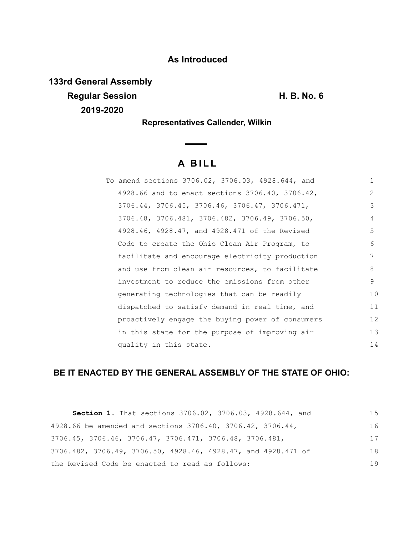## **As Introduced**

**133rd General Assembly Regular Session H. B. No. 6 2019-2020**

**Representatives Callender, Wilkin**

 $\overline{\phantom{0}}$ 

# **A B I L L**

| To amend sections 3706.02, 3706.03, 4928.644, and | $\mathbf{1}$   |
|---------------------------------------------------|----------------|
| 4928.66 and to enact sections 3706.40, 3706.42,   | $\overline{2}$ |
| 3706.44, 3706.45, 3706.46, 3706.47, 3706.471,     | 3              |
| 3706.48, 3706.481, 3706.482, 3706.49, 3706.50,    | 4              |
| 4928.46, 4928.47, and 4928.471 of the Revised     | 5              |
| Code to create the Ohio Clean Air Program, to     | 6              |
| facilitate and encourage electricity production   | 7              |
| and use from clean air resources, to facilitate   | 8              |
| investment to reduce the emissions from other     | 9              |
| generating technologies that can be readily       | 10             |
| dispatched to satisfy demand in real time, and    | 11             |
| proactively engage the buying power of consumers  | 12             |
| in this state for the purpose of improving air    | 13             |
| quality in this state.                            | 14             |

# **BE IT ENACTED BY THE GENERAL ASSEMBLY OF THE STATE OF OHIO:**

| Section 1. That sections 3706.02, 3706.03, 4928.644, and      | 1.5 |
|---------------------------------------------------------------|-----|
| 4928.66 be amended and sections 3706.40, 3706.42, 3706.44,    | 16  |
| 3706.45, 3706.46, 3706.47, 3706.471, 3706.48, 3706.481,       | 17  |
| 3706.482, 3706.49, 3706.50, 4928.46, 4928.47, and 4928.471 of | 18  |
| the Revised Code be enacted to read as follows:               | 19  |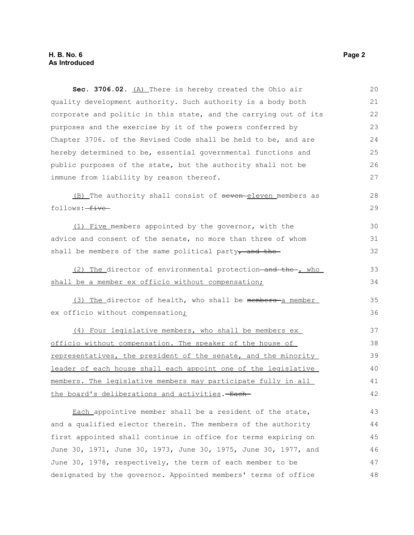#### **H. B. No. 6 Page 2 As Introduced**

| Sec. 3706.02. (A) There is hereby created the Ohio air           | 20 |
|------------------------------------------------------------------|----|
| quality development authority. Such authority is a body both     | 21 |
| corporate and politic in this state, and the carrying out of its | 22 |
| purposes and the exercise by it of the powers conferred by       | 23 |
| Chapter 3706. of the Revised Code shall be held to be, and are   | 24 |
| hereby determined to be, essential governmental functions and    | 25 |
| public purposes of the state, but the authority shall not be     | 26 |
| immune from liability by reason thereof.                         | 27 |
| (B) The authority shall consist of seven-eleven members as       | 28 |
| follows: five                                                    | 29 |
| (1) Five members appointed by the governor, with the             | 30 |
| advice and consent of the senate, no more than three of whom     | 31 |
| shall be members of the same political party, and the-           | 32 |
| (2) The director of environmental protection-and the-, who       | 33 |
| shall be a member ex officio without compensation;               | 34 |
| (3) The director of health, who shall be members-a member        | 35 |
| ex officio without compensation;                                 | 36 |
| (4) Four legislative members, who shall be members ex            | 37 |
| officio without compensation. The speaker of the house of        | 38 |
| representatives, the president of the senate, and the minority   | 39 |
| leader of each house shall each appoint one of the legislative   | 40 |
| members. The legislative members may participate fully in all    | 41 |
| the board's deliberations and activities. - Each                 | 42 |
| Each_appointive member shall be a resident of the state,         | 43 |
| and a qualified elector therein. The members of the authority    | 44 |
| first appointed shall continue in office for terms expiring on   | 45 |
| June 30, 1971, June 30, 1973, June 30, 1975, June 30, 1977, and  | 46 |
| June 30, 1978, respectively, the term of each member to be       | 47 |
| designated by the governor. Appointed members' terms of office   | 48 |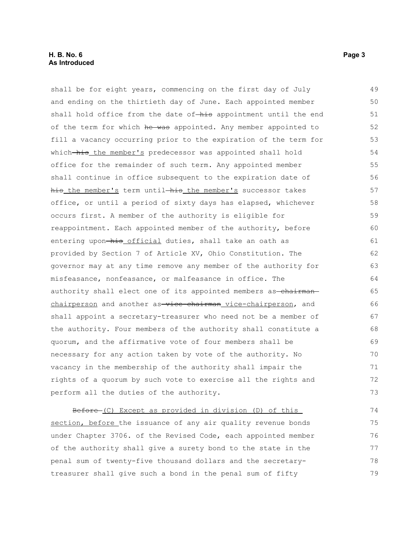shall be for eight years, commencing on the first day of July and ending on the thirtieth day of June. Each appointed member shall hold office from the date of-his appointment until the end of the term for which he was appointed. Any member appointed to fill a vacancy occurring prior to the expiration of the term for which-his the member's predecessor was appointed shall hold office for the remainder of such term. Any appointed member shall continue in office subsequent to the expiration date of his the member's term until-his the member's successor takes office, or until a period of sixty days has elapsed, whichever occurs first. A member of the authority is eligible for reappointment. Each appointed member of the authority, before entering upon-his official duties, shall take an oath as provided by Section 7 of Article XV, Ohio Constitution. The governor may at any time remove any member of the authority for misfeasance, nonfeasance, or malfeasance in office. The authority shall elect one of its appointed members as-chairmanchairperson and another as-vice-chairman vice-chairperson, and shall appoint a secretary-treasurer who need not be a member of the authority. Four members of the authority shall constitute a quorum, and the affirmative vote of four members shall be necessary for any action taken by vote of the authority. No vacancy in the membership of the authority shall impair the rights of a quorum by such vote to exercise all the rights and perform all the duties of the authority. 49 50 51 52 53 54 55 56 57 58 59 60 61 62 63 64 65 66 67 68 69 70 71 72 73 74

Before (C) Except as provided in division (D) of this section, before the issuance of any air quality revenue bonds under Chapter 3706. of the Revised Code, each appointed member of the authority shall give a surety bond to the state in the penal sum of twenty-five thousand dollars and the secretarytreasurer shall give such a bond in the penal sum of fifty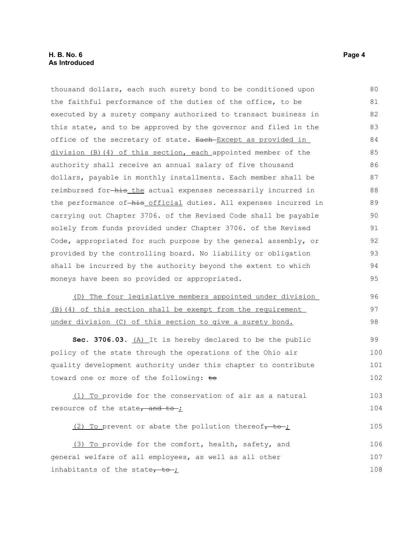#### **H. B. No. 6 Page 4 As Introduced**

thousand dollars, each such surety bond to be conditioned upon the faithful performance of the duties of the office, to be executed by a surety company authorized to transact business in this state, and to be approved by the governor and filed in the office of the secretary of state. Each Except as provided in division (B)(4) of this section, each appointed member of the authority shall receive an annual salary of five thousand dollars, payable in monthly installments. Each member shall be reimbursed for-his the actual expenses necessarily incurred in the performance of-his official duties. All expenses incurred in carrying out Chapter 3706. of the Revised Code shall be payable solely from funds provided under Chapter 3706. of the Revised Code, appropriated for such purpose by the general assembly, or provided by the controlling board. No liability or obligation shall be incurred by the authority beyond the extent to which moneys have been so provided or appropriated. (D) The four legislative members appointed under division (B)(4) of this section shall be exempt from the requirement under division (C) of this section to give a surety bond. 80 81 82 83 84 85 86 87 88 89 90 91 92 93 94 95 96 97 98

**Sec. 3706.03.** (A) It is hereby declared to be the public policy of the state through the operations of the Ohio air quality development authority under this chapter to contribute toward one or more of the following:  $\pm \Theta$ 99 100 101 102

 (1) To provide for the conservation of air as a natural resource of the state, and to  $\frac{1}{2}$ 103 104

(2) To prevent or abate the pollution thereof $\tau$  to  $\tau$ 105

 (3) To provide for the comfort, health, safety, and general welfare of all employees, as well as all other inhabitants of the state $\frac{1}{10}$ 106 107 108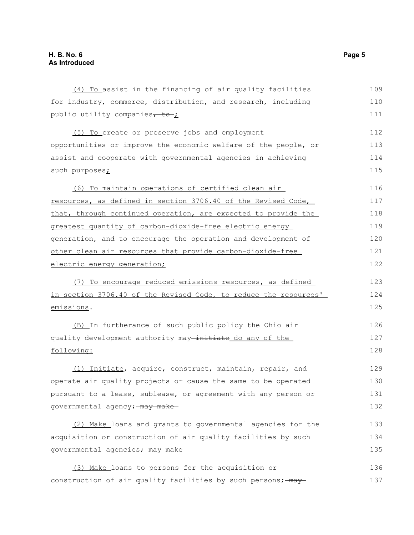| (4) To assist in the financing of air quality facilities         | 109 |
|------------------------------------------------------------------|-----|
| for industry, commerce, distribution, and research, including    | 110 |
| public utility companies, to ;                                   | 111 |
| (5) To create or preserve jobs and employment                    | 112 |
| opportunities or improve the economic welfare of the people, or  | 113 |
| assist and cooperate with governmental agencies in achieving     | 114 |
| such purposes;                                                   | 115 |
| (6) To maintain operations of certified clean air                | 116 |
| resources, as defined in section 3706.40 of the Revised Code,    | 117 |
| that, through continued operation, are expected to provide the   | 118 |
| greatest quantity of carbon-dioxide-free electric energy         | 119 |
| generation, and to encourage the operation and development of    | 120 |
| other clean air resources that provide carbon-dioxide-free       | 121 |
| electric energy generation;                                      | 122 |
| (7) To encourage reduced emissions resources, as defined         | 123 |
| in section 3706.40 of the Revised Code, to reduce the resources' | 124 |
| emissions.                                                       | 125 |
| (B) In furtherance of such public policy the Ohio air            | 126 |
| quality development authority may-initiate do any of the         | 127 |
| following:                                                       | 128 |
| (1) Initiate, acquire, construct, maintain, repair, and          | 129 |
| operate air quality projects or cause the same to be operated    | 130 |
| pursuant to a lease, sublease, or agreement with any person or   | 131 |
| governmental agency; may make                                    | 132 |
| (2) Make loans and grants to governmental agencies for the       | 133 |
| acquisition or construction of air quality facilities by such    | 134 |
| governmental agencies; - may make-                               | 135 |
| (3) Make_loans to persons for the acquisition or                 | 136 |
| construction of air quality facilities by such persons; - may-   | 137 |
|                                                                  |     |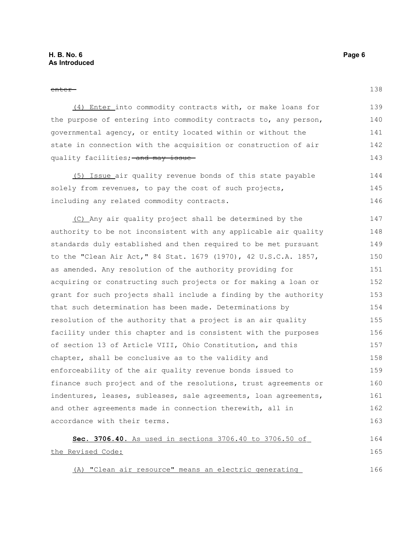138

| (4) Enter into commodity contracts with, or make loans for       | 139 |
|------------------------------------------------------------------|-----|
| the purpose of entering into commodity contracts to, any person, | 140 |
| governmental agency, or entity located within or without the     | 141 |
| state in connection with the acquisition or construction of air  | 142 |
| quality facilities; and may issue                                | 143 |

 (5) Issue air quality revenue bonds of this state payable solely from revenues, to pay the cost of such projects, including any related commodity contracts. 144 145 146

 (C) Any air quality project shall be determined by the authority to be not inconsistent with any applicable air quality standards duly established and then required to be met pursuant to the "Clean Air Act," 84 Stat. 1679 (1970), 42 U.S.C.A. 1857, as amended. Any resolution of the authority providing for acquiring or constructing such projects or for making a loan or grant for such projects shall include a finding by the authority that such determination has been made. Determinations by resolution of the authority that a project is an air quality facility under this chapter and is consistent with the purposes of section 13 of Article VIII, Ohio Constitution, and this chapter, shall be conclusive as to the validity and enforceability of the air quality revenue bonds issued to finance such project and of the resolutions, trust agreements or indentures, leases, subleases, sale agreements, loan agreements, and other agreements made in connection therewith, all in accordance with their terms. 147 148 149 150 151 152 153 154 155 156 157 158 159 160 161 162 163

#### **Sec. 3706.40.** As used in sections 3706.40 to 3706.50 of the Revised Code: 164 165 166

(A) "Clean air resource" means an electric generating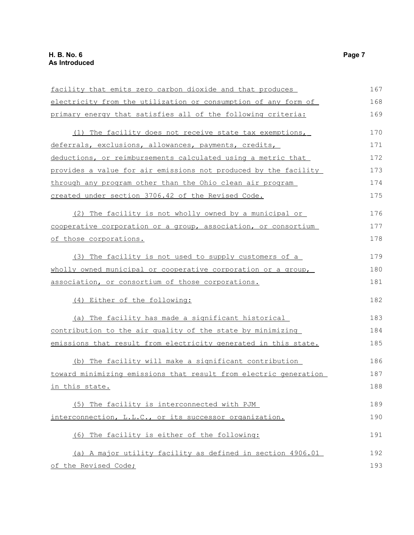| facility that emits zero carbon dioxide and that produces        | 167 |
|------------------------------------------------------------------|-----|
| electricity from the utilization or consumption of any form of   | 168 |
| primary energy that satisfies all of the following criteria:     | 169 |
| (1) The facility does not receive state tax exemptions,          | 170 |
| deferrals, exclusions, allowances, payments, credits,            | 171 |
| deductions, or reimbursements calculated using a metric that     | 172 |
| provides a value for air emissions not produced by the facility  | 173 |
| through any program other than the Ohio clean air program        | 174 |
| created under section 3706.42 of the Revised Code.               | 175 |
| (2) The facility is not wholly owned by a municipal or           | 176 |
| cooperative corporation or a group, association, or consortium   | 177 |
| of those corporations.                                           | 178 |
| (3) The facility is not used to supply customers of a            | 179 |
| wholly owned municipal or cooperative corporation or a group,    | 180 |
| association, or consortium of those corporations.                | 181 |
| (4) Either of the following:                                     | 182 |
| (a) The facility has made a significant historical               | 183 |
| contribution to the air quality of the state by minimizing       | 184 |
| emissions that result from electricity generated in this state.  | 185 |
| (b) The facility will make a significant contribution            | 186 |
| toward minimizing emissions that result from electric generation | 187 |
| in this state.                                                   | 188 |
| (5) The facility is interconnected with PJM                      | 189 |
| interconnection, L.L.C., or its successor organization.          | 190 |
| (6) The facility is either of the following:                     | 191 |
| (a) A major utility facility as defined in section 4906.01       | 192 |
| of the Revised Code;                                             | 193 |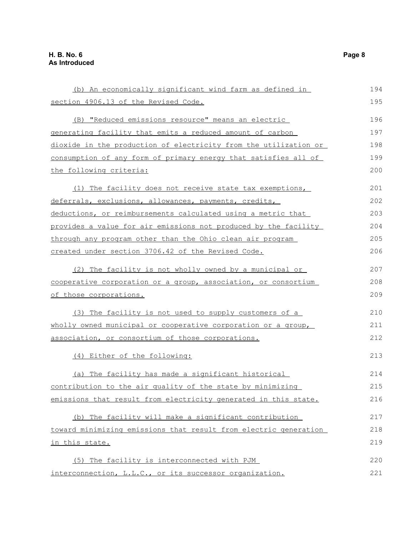(b) An economically significant wind farm as defined in section 4906.13 of the Revised Code. (B) "Reduced emissions resource" means an electric generating facility that emits a reduced amount of carbon dioxide in the production of electricity from the utilization or consumption of any form of primary energy that satisfies all of the following criteria: (1) The facility does not receive state tax exemptions, deferrals, exclusions, allowances, payments, credits, deductions, or reimbursements calculated using a metric that provides a value for air emissions not produced by the facility through any program other than the Ohio clean air program created under section 3706.42 of the Revised Code. (2) The facility is not wholly owned by a municipal or cooperative corporation or a group, association, or consortium of those corporations. (3) The facility is not used to supply customers of a wholly owned municipal or cooperative corporation or a group, association, or consortium of those corporations. (4) Either of the following: (a) The facility has made a significant historical contribution to the air quality of the state by minimizing emissions that result from electricity generated in this state. (b) The facility will make a significant contribution toward minimizing emissions that result from electric generation in this state. (5) The facility is interconnected with PJM interconnection, L.L.C., or its successor organization. 194 195 196 197 198 199 200 201 202 203 204 205 206 207 208 209 210 211 212 213 214 215 216 217 218 219 220 221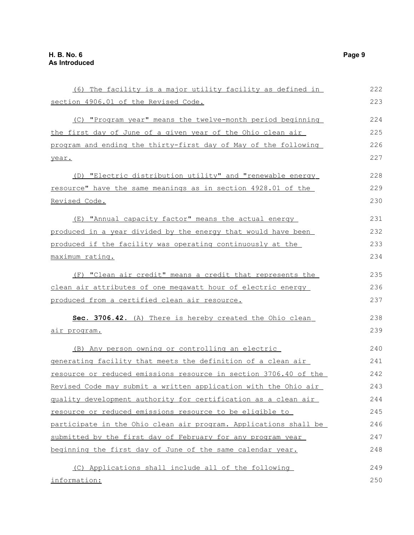information:

(6) The facility is a major utility facility as defined in section 4906.01 of the Revised Code. (C) "Program year" means the twelve-month period beginning the first day of June of a given year of the Ohio clean air program and ending the thirty-first day of May of the following year. (D) "Electric distribution utility" and "renewable energy resource" have the same meanings as in section 4928.01 of the Revised Code. (E) "Annual capacity factor" means the actual energy produced in a year divided by the energy that would have been produced if the facility was operating continuously at the maximum rating. (F) "Clean air credit" means a credit that represents the clean air attributes of one megawatt hour of electric energy produced from a certified clean air resource. **Sec. 3706.42.** (A) There is hereby created the Ohio clean air program. (B) Any person owning or controlling an electric generating facility that meets the definition of a clean air resource or reduced emissions resource in section 3706.40 of the Revised Code may submit a written application with the Ohio air quality development authority for certification as a clean air resource or reduced emissions resource to be eligible to participate in the Ohio clean air program. Applications shall be submitted by the first day of February for any program year beginning the first day of June of the same calendar year. (C) Applications shall include all of the following 222 223 224 225 226 227 228 229 230 231 232 233 234 235 236 237 238 239  $240$ 241 242 243 244 245 246 247 248 249 250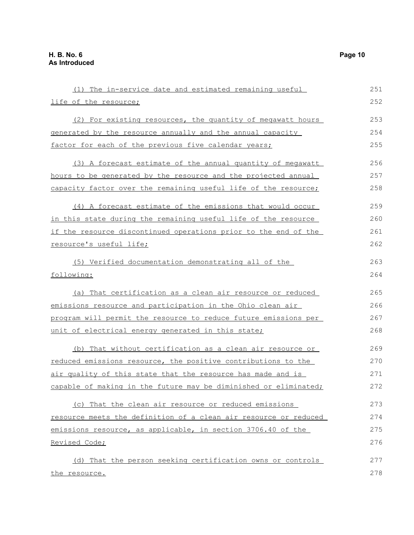| (1) The in-service date and estimated remaining useful           | 251 |
|------------------------------------------------------------------|-----|
| life of the resource;                                            | 252 |
| (2) For existing resources, the quantity of megawatt hours       | 253 |
| generated by the resource annually and the annual capacity       | 254 |
| factor for each of the previous five calendar years;             | 255 |
| (3) A forecast estimate of the annual quantity of megawatt       | 256 |
| hours to be generated by the resource and the projected annual   | 257 |
| capacity factor over the remaining useful life of the resource;  | 258 |
| (4) A forecast estimate of the emissions that would occur        | 259 |
| in this state during the remaining useful life of the resource   | 260 |
| if the resource discontinued operations prior to the end of the  | 261 |
| resource's useful life;                                          | 262 |
| (5) Verified documentation demonstrating all of the              | 263 |
| following:                                                       | 264 |
| (a) That certification as a clean air resource or reduced        | 265 |
| emissions resource and participation in the Ohio clean air       | 266 |
| program will permit the resource to reduce future emissions per  | 267 |
| unit of electrical energy generated in this state;               | 268 |
| (b) That without certification as a clean air resource or        | 269 |
| reduced emissions resource, the positive contributions to the    | 270 |
| air quality of this state that the resource has made and is      | 271 |
| capable of making in the future may be diminished or eliminated; | 272 |
| (c) That the clean air resource or reduced emissions             | 273 |
| resource meets the definition of a clean air resource or reduced | 274 |
| emissions resource, as applicable, in section 3706.40 of the     | 275 |
| Revised Code;                                                    | 276 |
| (d) That the person seeking certification owns or controls       | 277 |
| the resource.                                                    | 278 |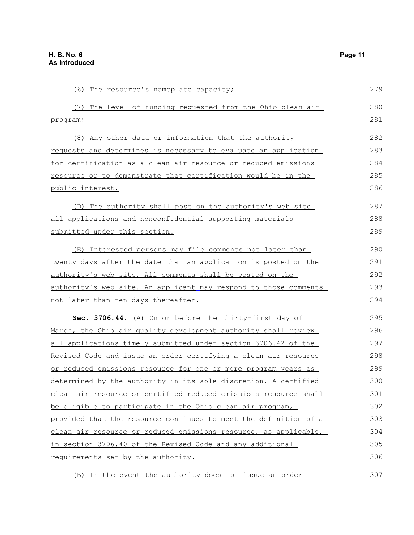(6) The resource's nameplate capacity; (7) The level of funding requested from the Ohio clean air program; (8) Any other data or information that the authority requests and determines is necessary to evaluate an application for certification as a clean air resource or reduced emissions resource or to demonstrate that certification would be in the public interest. (D) The authority shall post on the authority's web site all applications and nonconfidential supporting materials submitted under this section. (E) Interested persons may file comments not later than twenty days after the date that an application is posted on the authority's web site. All comments shall be posted on the authority's web site. An applicant may respond to those comments not later than ten days thereafter. **Sec. 3706.44.** (A) On or before the thirty-first day of March, the Ohio air quality development authority shall review all applications timely submitted under section 3706.42 of the Revised Code and issue an order certifying a clean air resource or reduced emissions resource for one or more program years as determined by the authority in its sole discretion. A certified clean air resource or certified reduced emissions resource shall be eligible to participate in the Ohio clean air program, provided that the resource continues to meet the definition of a clean air resource or reduced emissions resource, as applicable, in section 3706.40 of the Revised Code and any additional requirements set by the authority. 279 280 281 282 283 284 285 286 287 288 289 290 291 292 293 294 295 296 297 298 299 300 301 302 303 304 305 306

(B) In the event the authority does not issue an order 307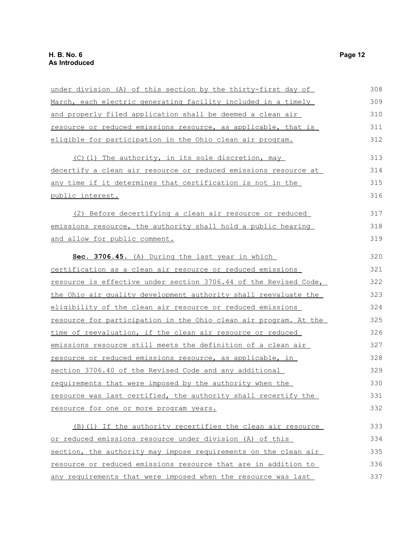| under division (A) of this section by the thirty-first day of    | 308 |
|------------------------------------------------------------------|-----|
| March, each electric generating facility included in a timely    | 309 |
| and properly filed application shall be deemed a clean air       | 310 |
| resource or reduced emissions resource, as applicable, that is   | 311 |
| eligible for participation in the Ohio clean air program.        | 312 |
| (C)(1) The authority, in its sole discretion, may                | 313 |
| decertify a clean air resource or reduced emissions resource at  | 314 |
| any time if it determines that certification is not in the       | 315 |
| public interest.                                                 | 316 |
| (2) Before decertifying a clean air resource or reduced          | 317 |
| emissions resource, the authority shall hold a public hearing    | 318 |
| and allow for public comment.                                    | 319 |
| Sec. 3706.45. (A) During the last year in which                  | 320 |
| certification as a clean air resource or reduced emissions       | 321 |
| resource is effective under section 3706.44 of the Revised Code, | 322 |
| the Ohio air quality development authority shall reevaluate the  | 323 |
| eligibility of the clean air resource or reduced emissions       | 324 |
| resource for participation in the Ohio clean air program. At the | 325 |
| time of reevaluation, if the clean air resource or reduced       | 326 |
| emissions resource still meets the definition of a clean air     | 327 |
| resource or reduced emissions resource, as applicable, in        | 328 |
| section 3706.40 of the Revised Code and any additional           | 329 |
| requirements that were imposed by the authority when the         | 330 |
| resource was last certified, the authority shall recertify the   | 331 |
| resource for one or more program years.                          | 332 |
| (B) (1) If the authority recertifies the clean air resource      | 333 |
| or reduced emissions resource under division (A) of this         | 334 |
| section, the authority may impose requirements on the clean air  | 335 |
| resource or reduced emissions resource that are in addition to   | 336 |
| any requirements that were imposed when the resource was last    | 337 |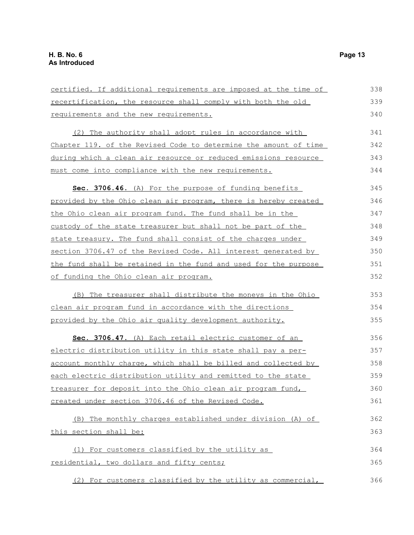| certified. If additional requirements are imposed at the time of | 338 |
|------------------------------------------------------------------|-----|
| recertification, the resource shall comply with both the old     | 339 |
| requirements and the new requirements.                           | 340 |
| (2) The authority shall adopt rules in accordance with           | 341 |
| Chapter 119. of the Revised Code to determine the amount of time | 342 |
| during which a clean air resource or reduced emissions resource  | 343 |
| must come into compliance with the new requirements.             | 344 |
| Sec. 3706.46. (A) For the purpose of funding benefits            | 345 |
| provided by the Ohio clean air program, there is hereby created  | 346 |
| the Ohio clean air program fund. The fund shall be in the        | 347 |
| custody of the state treasurer but shall not be part of the      | 348 |
| state treasury. The fund shall consist of the charges under      | 349 |
| section 3706.47 of the Revised Code. All interest generated by   | 350 |
| the fund shall be retained in the fund and used for the purpose  | 351 |
| of funding the Ohio clean air program.                           | 352 |
| (B) The treasurer shall distribute the moneys in the Ohio        | 353 |
| clean air program fund in accordance with the directions         | 354 |
| provided by the Ohio air quality development authority.          | 355 |
| Sec. 3706.47. (A) Each retail electric customer of an            | 356 |
| electric distribution utility in this state shall pay a per-     | 357 |
| account monthly charge, which shall be billed and collected by   | 358 |
| each electric distribution utility and remitted to the state     | 359 |
| treasurer for deposit into the Ohio clean air program fund,      | 360 |
| created under section 3706.46 of the Revised Code.               | 361 |
| (B) The monthly charges established under division (A) of        | 362 |
| this section shall be:                                           | 363 |
| (1) For customers classified by the utility as                   | 364 |
| residential, two dollars and fifty cents;                        | 365 |
| (2) For customers classified by the utility as commercial,       | 366 |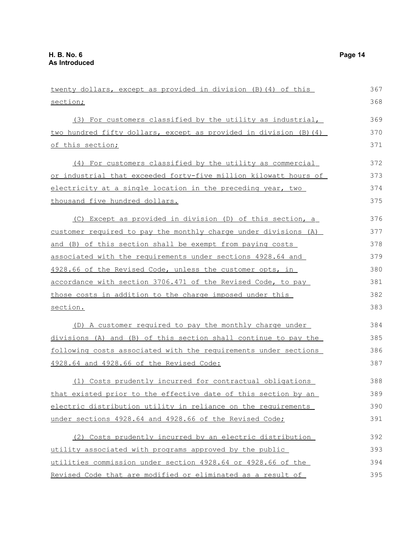| twenty dollars, except as provided in division (B) (4) of this    | 367 |
|-------------------------------------------------------------------|-----|
| section;                                                          | 368 |
| (3) For customers classified by the utility as industrial,        | 369 |
| two hundred fifty dollars, except as provided in division (B) (4) | 370 |
| of this section;                                                  | 371 |
| (4) For customers classified by the utility as commercial         | 372 |
| or industrial that exceeded forty-five million kilowatt hours of  | 373 |
| electricity at a single location in the preceding year, two       | 374 |
| thousand five hundred dollars.                                    | 375 |
| (C) Except as provided in division (D) of this section, a         | 376 |
| customer required to pay the monthly charge under divisions (A)   | 377 |
| and (B) of this section shall be exempt from paying costs         | 378 |
| associated with the requirements under sections 4928.64 and       | 379 |
| 4928.66 of the Revised Code, unless the customer opts, in         | 380 |
| accordance with section 3706.471 of the Revised Code, to pay      | 381 |
| those costs in addition to the charge imposed under this          | 382 |
| section.                                                          | 383 |
| (D) A customer required to pay the monthly charge under           | 384 |
| divisions (A) and (B) of this section shall continue to pay the   | 385 |
| following costs associated with the requirements under sections   | 386 |
| 4928.64 and 4928.66 of the Revised Code:                          | 387 |
| (1) Costs prudently incurred for contractual obligations          | 388 |
| that existed prior to the effective date of this section by an    | 389 |
| electric distribution utility in reliance on the requirements     | 390 |
| under sections 4928.64 and 4928.66 of the Revised Code;           | 391 |
| (2) Costs prudently incurred by an electric distribution          | 392 |
| utility associated with programs approved by the public           | 393 |
| utilities commission under section 4928.64 or 4928.66 of the      | 394 |
| Revised Code that are modified or eliminated as a result of       | 395 |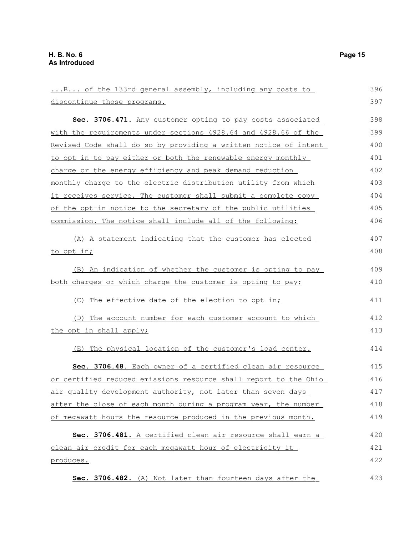...B... of the 133rd general assembly, including any costs to discontinue those programs. **Sec. 3706.471.** Any customer opting to pay costs associated with the requirements under sections 4928.64 and 4928.66 of the Revised Code shall do so by providing a written notice of intent to opt in to pay either or both the renewable energy monthly charge or the energy efficiency and peak demand reduction monthly charge to the electric distribution utility from which it receives service. The customer shall submit a complete copy of the opt-in notice to the secretary of the public utilities commission. The notice shall include all of the following: (A) A statement indicating that the customer has elected to opt in; (B) An indication of whether the customer is opting to pay both charges or which charge the customer is opting to pay; (C) The effective date of the election to opt in; (D) The account number for each customer account to which the opt in shall apply; (E) The physical location of the customer's load center. **Sec. 3706.48.** Each owner of a certified clean air resource or certified reduced emissions resource shall report to the Ohio air quality development authority, not later than seven days after the close of each month during a program year, the number of megawatt hours the resource produced in the previous month. **Sec. 3706.481.** A certified clean air resource shall earn a clean air credit for each megawatt hour of electricity it produces. **Sec. 3706.482.** (A) Not later than fourteen days after the 396 397 398 399 400 401 402 403 404 405 406 407 408 409 410 411 412 413 414 415 416 417 418 419 420 421 422 423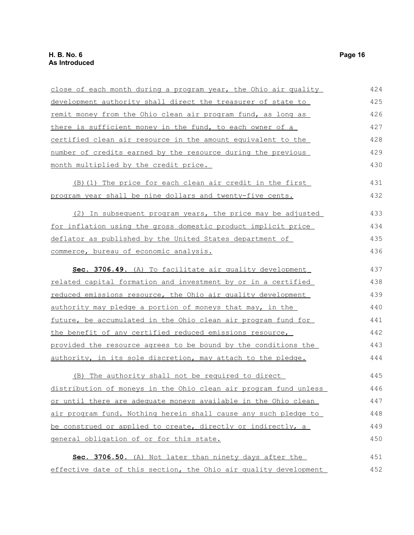| close of each month during a program year, the Ohio air quality      | 424 |
|----------------------------------------------------------------------|-----|
| development authority shall direct the treasurer of state to         | 425 |
| <u>remit money from the Ohio clean air program fund, as long as</u>  | 426 |
| there is sufficient money in the fund, to each owner of a            | 427 |
| certified clean air resource in the amount equivalent to the         | 428 |
| number of credits earned by the resource during the previous         | 429 |
| month multiplied by the credit price.                                | 430 |
| <u>(B)(1) The price for each clean air credit in the first</u>       | 431 |
| program year shall be nine dollars and twenty-five cents.            | 432 |
| (2) In subsequent program years, the price may be adjusted           | 433 |
| <u>for inflation using the gross domestic product implicit price</u> | 434 |
| deflator as published by the United States department of             | 435 |
| commerce, bureau of economic analysis.                               | 436 |
| Sec. 3706.49. (A) To facilitate air quality development              | 437 |
| related capital formation and investment by or in a certified        | 438 |
| reduced emissions resource, the Ohio air quality development         | 439 |
| authority may pledge a portion of moneys that may, in the            | 440 |
| future, be accumulated in the Ohio clean air program fund for        | 441 |
| the benefit of any certified reduced emissions resource,             | 442 |
| provided the resource agrees to be bound by the conditions the       | 443 |
| authority, in its sole discretion, may attach to the pledge.         | 444 |
| (B) The authority shall not be required to direct                    | 445 |
| distribution of moneys in the Ohio clean air program fund unless     | 446 |
| or until there are adequate moneys available in the Ohio clean       | 447 |
| air program fund. Nothing herein shall cause any such pledge to      | 448 |
| be construed or applied to create, directly or indirectly, a         | 449 |
| general obligation of or for this state.                             | 450 |
| Sec. 3706.50. (A) Not later than ninety days after the               | 451 |
| effective date of this section, the Ohio air quality development     | 452 |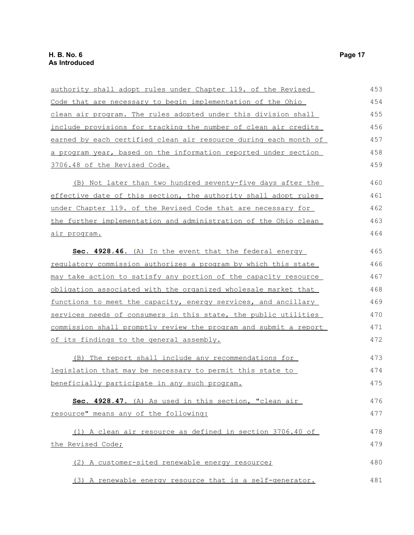| authority shall adopt rules under Chapter 119. of the Revised          | 453 |
|------------------------------------------------------------------------|-----|
| Code that are necessary to begin implementation of the Ohio            | 454 |
| clean air program. The rules adopted under this division shall         | 455 |
| <u>include provisions for tracking the number of clean air credits</u> | 456 |
| earned by each certified clean air resource during each month of       | 457 |
| a program year, based on the information reported under section        | 458 |
| 3706.48 of the Revised Code.                                           | 459 |
| (B) Not later than two hundred seventy-five days after the             | 460 |
| effective date of this section, the authority shall adopt rules        | 461 |
| under Chapter 119. of the Revised Code that are necessary for          | 462 |
| the further implementation and administration of the Ohio clean        | 463 |
| <u>air program.</u>                                                    | 464 |
| Sec. 4928.46. (A) In the event that the federal energy                 | 465 |
| <u>requlatory commission authorizes a program by which this state</u>  | 466 |
| may take action to satisfy any portion of the capacity resource        | 467 |
| obligation associated with the organized wholesale market that         | 468 |
| functions to meet the capacity, energy services, and ancillary         | 469 |
| services needs of consumers in this state, the public utilities        | 470 |
| commission shall promptly review the program and submit a report       | 471 |
| of its findings to the general assembly.                               | 472 |
| (B) The report shall include any recommendations for                   | 473 |
| <u>legislation that may be necessary to permit this state to</u>       | 474 |
| beneficially participate in any such program.                          | 475 |
| Sec. 4928.47. (A) As used in this section, "clean air                  | 476 |
| resource" means any of the following:                                  | 477 |
| (1) A clean air resource as defined in section 3706.40 of              | 478 |
| the Revised Code;                                                      | 479 |
| (2) A customer-sited renewable energy resource;                        | 480 |
| (3) A renewable energy resource that is a self-generator.              | 481 |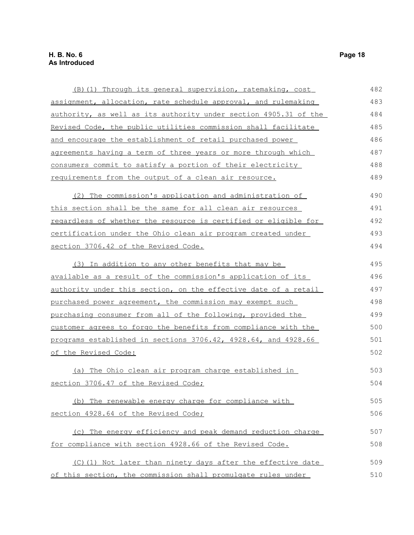| <u>(B)(1) Through its general supervision, ratemaking, cost</u>  | 482 |
|------------------------------------------------------------------|-----|
| assignment, allocation, rate schedule approval, and rulemaking   | 483 |
| authority, as well as its authority under section 4905.31 of the | 484 |
| Revised Code, the public utilities commission shall facilitate   | 485 |
| and encourage the establishment of retail purchased power        | 486 |
| agreements having a term of three years or more through which    | 487 |
| consumers commit to satisfy a portion of their electricity       | 488 |
| requirements from the output of a clean air resource.            | 489 |
| (2) The commission's application and administration of           | 490 |
| this section shall be the same for all clean air resources       | 491 |
| regardless of whether the resource is certified or eligible for  | 492 |
| certification under the Ohio clean air program created under     | 493 |
| section 3706.42 of the Revised Code.                             | 494 |
| (3) In addition to any other benefits that may be                | 495 |
| available as a result of the commission's application of its     | 496 |
| authority under this section, on the effective date of a retail  | 497 |
| purchased power agreement, the commission may exempt such        | 498 |
| purchasing consumer from all of the following, provided the      | 499 |
| customer agrees to forgo the benefits from compliance with the   | 500 |
| programs established in sections 3706.42, 4928.64, and 4928.66   | 501 |
| of the Revised Code:                                             | 502 |
| (a) The Ohio clean air program charge established in             | 503 |
| section 3706.47 of the Revised Code;                             | 504 |
| (b) The renewable energy charge for compliance with              | 505 |
| section 4928.64 of the Revised Code;                             | 506 |
| (c) The energy efficiency and peak demand reduction charge       | 507 |
| for compliance with section 4928.66 of the Revised Code.         | 508 |
| (C)(1) Not later than ninety days after the effective date       | 509 |
| of this section, the commission shall promulgate rules under     | 510 |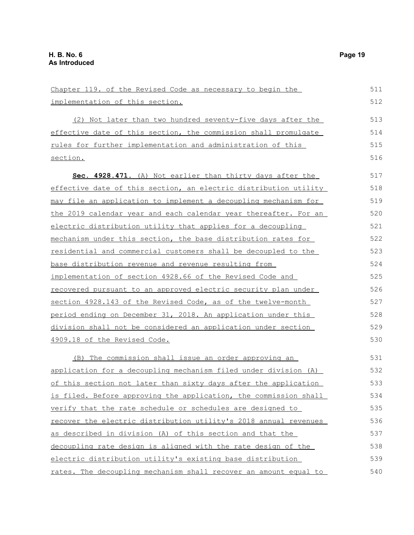| Chapter 119. of the Revised Code as necessary to begin the            | 511 |
|-----------------------------------------------------------------------|-----|
| implementation of this section.                                       | 512 |
| (2) Not later than two hundred seventy-five days after the            | 513 |
| effective date of this section, the commission shall promulgate       | 514 |
| rules for further implementation and administration of this           | 515 |
| section.                                                              | 516 |
| Sec. 4928.471. (A) Not earlier than thirty days after the             | 517 |
| effective date of this section, an electric distribution utility      | 518 |
| may file an application to implement a decoupling mechanism for       | 519 |
| the 2019 calendar year and each calendar year thereafter. For an      | 520 |
| electric distribution utility that applies for a decoupling           | 521 |
| mechanism under this section, the base distribution rates for         | 522 |
| <u>residential and commercial customers shall be decoupled to the</u> | 523 |
| <u>base distribution revenue and revenue resulting from</u>           | 524 |
| implementation of section 4928.66 of the Revised Code and             | 525 |
| recovered pursuant to an approved electric security plan under        | 526 |
| section 4928.143 of the Revised Code, as of the twelve-month          | 527 |
| period ending on December 31, 2018. An application under this         | 528 |
| division shall not be considered an application under section         | 529 |
| 4909.18 of the Revised Code.                                          | 530 |
| (B) The commission shall issue an order approving an                  | 531 |
| application for a decoupling mechanism filed under division (A)       | 532 |
| of this section not later than sixty days after the application       | 533 |
| is filed. Before approving the application, the commission shall      | 534 |
| verify that the rate schedule or schedules are designed to            | 535 |
| recover the electric distribution utility's 2018 annual revenues      | 536 |
| as described in division (A) of this section and that the             | 537 |
| decoupling rate design is aligned with the rate design of the         | 538 |
| electric distribution utility's existing base distribution            | 539 |
| rates. The decoupling mechanism shall recover an amount equal to      | 540 |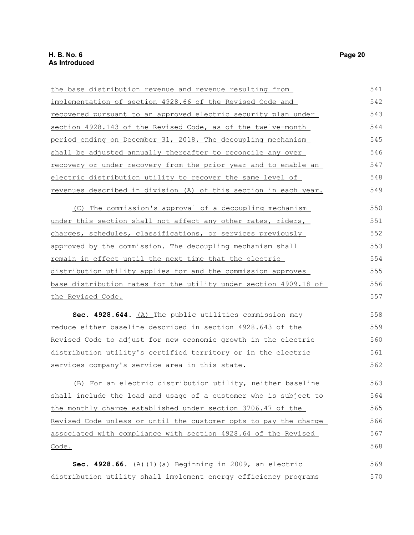| the base distribution revenue and revenue resulting from               | 541 |
|------------------------------------------------------------------------|-----|
| implementation of section 4928.66 of the Revised Code and              | 542 |
| recovered pursuant to an approved electric security plan under         | 543 |
| section 4928.143 of the Revised Code, as of the twelve-month           | 544 |
| period ending on December 31, 2018. The decoupling mechanism           | 545 |
| shall be adjusted annually thereafter to reconcile any over            | 546 |
| <u>recovery or under recovery from the prior year and to enable an</u> | 547 |
| electric distribution utility to recover the same level of             | 548 |
| revenues described in division (A) of this section in each year.       | 549 |
| (C) The commission's approval of a decoupling mechanism                | 550 |
| under this section shall not affect any other rates, riders,           | 551 |
| charges, schedules, classifications, or services previously            | 552 |
| approved by the commission. The decoupling mechanism shall             | 553 |
| remain in effect until the next time that the electric                 | 554 |
| distribution utility applies for and the commission approves           | 555 |
| base distribution rates for the utility under section 4909.18 of       | 556 |
| the Revised Code.                                                      | 557 |
| Sec. 4928.644. (A) The public utilities commission may                 | 558 |
| reduce either baseline described in section 4928.643 of the            | 559 |
| Revised Code to adjust for new economic growth in the electric         | 560 |
| distribution utility's certified territory or in the electric          | 561 |
| services company's service area in this state.                         | 562 |
| (B) For an electric distribution utility, neither baseline             | 563 |
| shall include the load and usage of a customer who is subject to       | 564 |
| the monthly charge established under section 3706.47 of the            | 565 |
| Revised Code unless or until the customer opts to pay the charge       | 566 |
| associated with compliance with section 4928.64 of the Revised         | 567 |
|                                                                        |     |
| Code.                                                                  | 568 |

distribution utility shall implement energy efficiency programs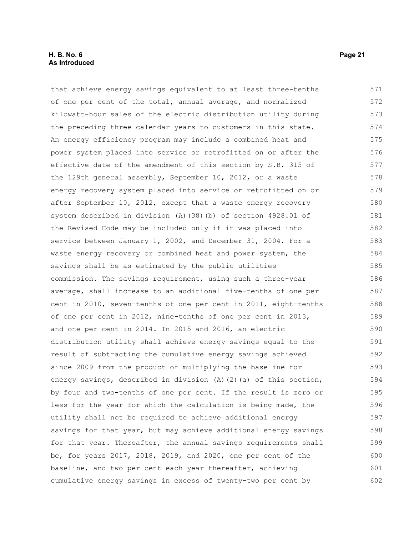#### **H. B. No. 6 Page 21 As Introduced**

that achieve energy savings equivalent to at least three-tenths of one per cent of the total, annual average, and normalized kilowatt-hour sales of the electric distribution utility during the preceding three calendar years to customers in this state. An energy efficiency program may include a combined heat and power system placed into service or retrofitted on or after the effective date of the amendment of this section by S.B. 315 of the 129th general assembly, September 10, 2012, or a waste energy recovery system placed into service or retrofitted on or after September 10, 2012, except that a waste energy recovery system described in division (A)(38)(b) of section 4928.01 of the Revised Code may be included only if it was placed into service between January 1, 2002, and December 31, 2004. For a waste energy recovery or combined heat and power system, the savings shall be as estimated by the public utilities commission. The savings requirement, using such a three-year average, shall increase to an additional five-tenths of one per cent in 2010, seven-tenths of one per cent in 2011, eight-tenths of one per cent in 2012, nine-tenths of one per cent in 2013, and one per cent in 2014. In 2015 and 2016, an electric distribution utility shall achieve energy savings equal to the result of subtracting the cumulative energy savings achieved since 2009 from the product of multiplying the baseline for energy savings, described in division (A)(2)(a) of this section, by four and two-tenths of one per cent. If the result is zero or less for the year for which the calculation is being made, the utility shall not be required to achieve additional energy savings for that year, but may achieve additional energy savings for that year. Thereafter, the annual savings requirements shall be, for years 2017, 2018, 2019, and 2020, one per cent of the baseline, and two per cent each year thereafter, achieving cumulative energy savings in excess of twenty-two per cent by 571 572 573 574 575 576 577 578 579 580 581 582 583 584 585 586 587 588 589 590 591 592 593 594 595 596 597 598 599 600 601 602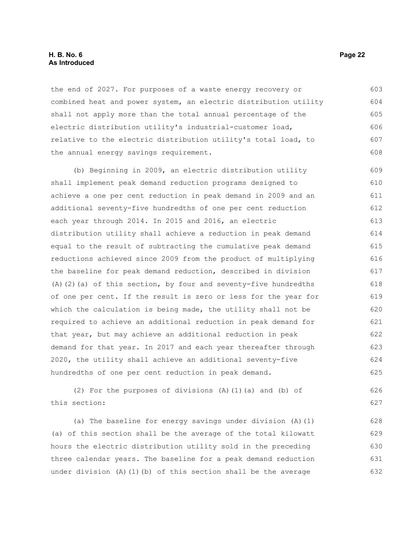#### **H. B. No. 6 Page 22 As Introduced**

the end of 2027. For purposes of a waste energy recovery or combined heat and power system, an electric distribution utility shall not apply more than the total annual percentage of the electric distribution utility's industrial-customer load, relative to the electric distribution utility's total load, to the annual energy savings requirement. 603 604 605 606 607 608

(b) Beginning in 2009, an electric distribution utility shall implement peak demand reduction programs designed to achieve a one per cent reduction in peak demand in 2009 and an additional seventy-five hundredths of one per cent reduction each year through 2014. In 2015 and 2016, an electric distribution utility shall achieve a reduction in peak demand equal to the result of subtracting the cumulative peak demand reductions achieved since 2009 from the product of multiplying the baseline for peak demand reduction, described in division (A)(2)(a) of this section, by four and seventy-five hundredths of one per cent. If the result is zero or less for the year for which the calculation is being made, the utility shall not be required to achieve an additional reduction in peak demand for that year, but may achieve an additional reduction in peak demand for that year. In 2017 and each year thereafter through 2020, the utility shall achieve an additional seventy-five hundredths of one per cent reduction in peak demand. 609 610 611 612 613 614 615 616 617 618 619 620 621 622 623 624 625

(2) For the purposes of divisions (A)(1)(a) and (b) of this section:

(a) The baseline for energy savings under division (A)(1) (a) of this section shall be the average of the total kilowatt hours the electric distribution utility sold in the preceding three calendar years. The baseline for a peak demand reduction under division  $(A)$   $(1)$   $(b)$  of this section shall be the average 628 629 630 631 632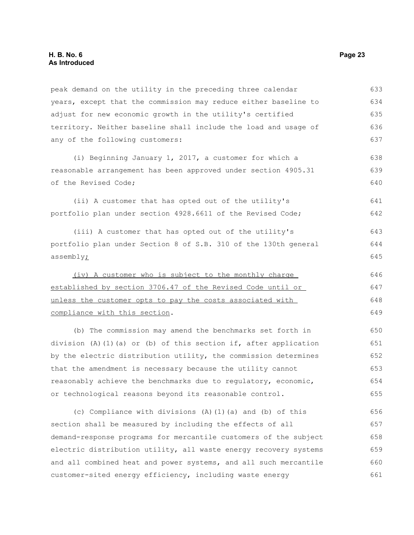peak demand on the utility in the preceding three calendar years, except that the commission may reduce either baseline to adjust for new economic growth in the utility's certified territory. Neither baseline shall include the load and usage of any of the following customers: 633 634 635 636 637

(i) Beginning January 1, 2017, a customer for which a reasonable arrangement has been approved under section 4905.31 of the Revised Code;

(ii) A customer that has opted out of the utility's portfolio plan under section 4928.6611 of the Revised Code;

(iii) A customer that has opted out of the utility's portfolio plan under Section 8 of S.B. 310 of the 130th general assembly<sub>i</sub>

 (iv) A customer who is subject to the monthly charge established by section 3706.47 of the Revised Code until or unless the customer opts to pay the costs associated with compliance with this section. 646 647 648 649

(b) The commission may amend the benchmarks set forth in division (A)(1)(a) or (b) of this section if, after application by the electric distribution utility, the commission determines that the amendment is necessary because the utility cannot reasonably achieve the benchmarks due to regulatory, economic, or technological reasons beyond its reasonable control.

(c) Compliance with divisions (A)(1)(a) and (b) of this section shall be measured by including the effects of all demand-response programs for mercantile customers of the subject electric distribution utility, all waste energy recovery systems and all combined heat and power systems, and all such mercantile customer-sited energy efficiency, including waste energy 656 657 658 659 660 661

638 639 640

641 642

643 644 645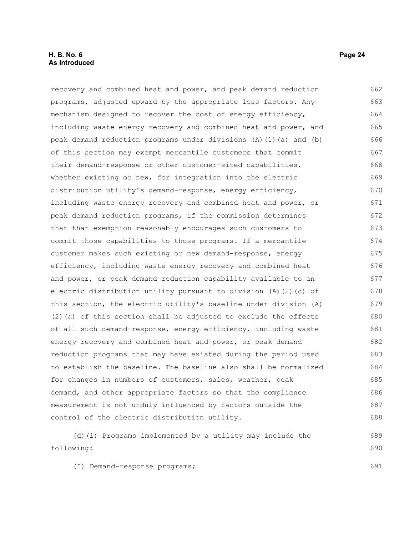#### **H. B. No. 6 Page 24 As Introduced**

recovery and combined heat and power, and peak demand reduction programs, adjusted upward by the appropriate loss factors. Any mechanism designed to recover the cost of energy efficiency, including waste energy recovery and combined heat and power, and peak demand reduction programs under divisions (A)(1)(a) and (b) of this section may exempt mercantile customers that commit their demand-response or other customer-sited capabilities, whether existing or new, for integration into the electric distribution utility's demand-response, energy efficiency, including waste energy recovery and combined heat and power, or peak demand reduction programs, if the commission determines that that exemption reasonably encourages such customers to commit those capabilities to those programs. If a mercantile customer makes such existing or new demand-response, energy efficiency, including waste energy recovery and combined heat and power, or peak demand reduction capability available to an electric distribution utility pursuant to division (A)(2)(c) of this section, the electric utility's baseline under division (A)  $(2)$  (a) of this section shall be adjusted to exclude the effects of all such demand-response, energy efficiency, including waste energy recovery and combined heat and power, or peak demand reduction programs that may have existed during the period used to establish the baseline. The baseline also shall be normalized for changes in numbers of customers, sales, weather, peak demand, and other appropriate factors so that the compliance measurement is not unduly influenced by factors outside the control of the electric distribution utility. (d)(i) Programs implemented by a utility may include the following: 662 663 664 665 666 667 668 669 670 671 672 673 674 675 676 677 678 679 680 681 682 683 684 685 686 687 688 689 690

(I) Demand-response programs;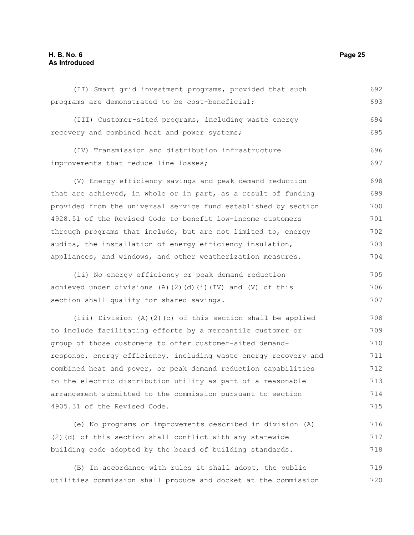### **H. B. No. 6 Page 25 As Introduced**

| (II) Smart grid investment programs, provided that such          | 692 |
|------------------------------------------------------------------|-----|
| programs are demonstrated to be cost-beneficial;                 | 693 |
| (III) Customer-sited programs, including waste energy            | 694 |
| recovery and combined heat and power systems;                    | 695 |
| (IV) Transmission and distribution infrastructure                | 696 |
| improvements that reduce line losses;                            | 697 |
| (V) Energy efficiency savings and peak demand reduction          | 698 |
| that are achieved, in whole or in part, as a result of funding   | 699 |
| provided from the universal service fund established by section  | 700 |
| 4928.51 of the Revised Code to benefit low-income customers      | 701 |
| through programs that include, but are not limited to, energy    | 702 |
| audits, the installation of energy efficiency insulation,        | 703 |
| appliances, and windows, and other weatherization measures.      | 704 |
| (ii) No energy efficiency or peak demand reduction               | 705 |
| achieved under divisions (A)(2)(d)(i)(IV) and (V) of this        | 706 |
| section shall qualify for shared savings.                        | 707 |
| (iii) Division (A)(2)(c) of this section shall be applied        | 708 |
| to include facilitating efforts by a mercantile customer or      | 709 |
| group of those customers to offer customer-sited demand-         | 710 |
| response, energy efficiency, including waste energy recovery and | 711 |
| combined heat and power, or peak demand reduction capabilities   | 712 |
| to the electric distribution utility as part of a reasonable     | 713 |
| arrangement submitted to the commission pursuant to section      | 714 |
| 4905.31 of the Revised Code.                                     | 715 |
| (e) No programs or improvements described in division (A)        | 716 |
| (2) (d) of this section shall conflict with any statewide        | 717 |
| building code adopted by the board of building standards.        | 718 |
| In accordance with rules it shall adopt, the public<br>(B)       | 719 |

utilities commission shall produce and docket at the commission 720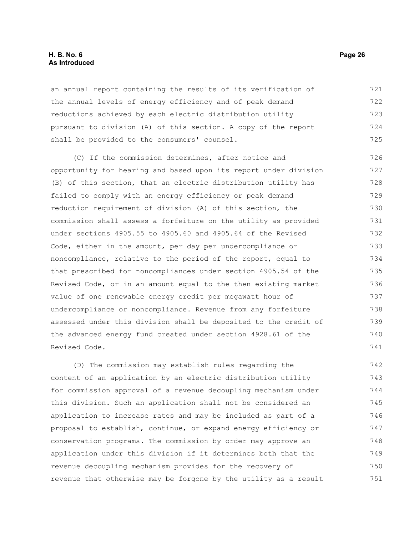#### **H. B. No. 6 Page 26 As Introduced**

an annual report containing the results of its verification of the annual levels of energy efficiency and of peak demand reductions achieved by each electric distribution utility pursuant to division (A) of this section. A copy of the report shall be provided to the consumers' counsel. 721 722 723 724 725

(C) If the commission determines, after notice and opportunity for hearing and based upon its report under division (B) of this section, that an electric distribution utility has failed to comply with an energy efficiency or peak demand reduction requirement of division (A) of this section, the commission shall assess a forfeiture on the utility as provided under sections 4905.55 to 4905.60 and 4905.64 of the Revised Code, either in the amount, per day per undercompliance or noncompliance, relative to the period of the report, equal to that prescribed for noncompliances under section 4905.54 of the Revised Code, or in an amount equal to the then existing market value of one renewable energy credit per megawatt hour of undercompliance or noncompliance. Revenue from any forfeiture assessed under this division shall be deposited to the credit of the advanced energy fund created under section 4928.61 of the Revised Code. 726 727 728 729 730 731 732 733 734 735 736 737 738 739 740 741

(D) The commission may establish rules regarding the content of an application by an electric distribution utility for commission approval of a revenue decoupling mechanism under this division. Such an application shall not be considered an application to increase rates and may be included as part of a proposal to establish, continue, or expand energy efficiency or conservation programs. The commission by order may approve an application under this division if it determines both that the revenue decoupling mechanism provides for the recovery of revenue that otherwise may be forgone by the utility as a result 742 743 744 745 746 747 748 749 750 751